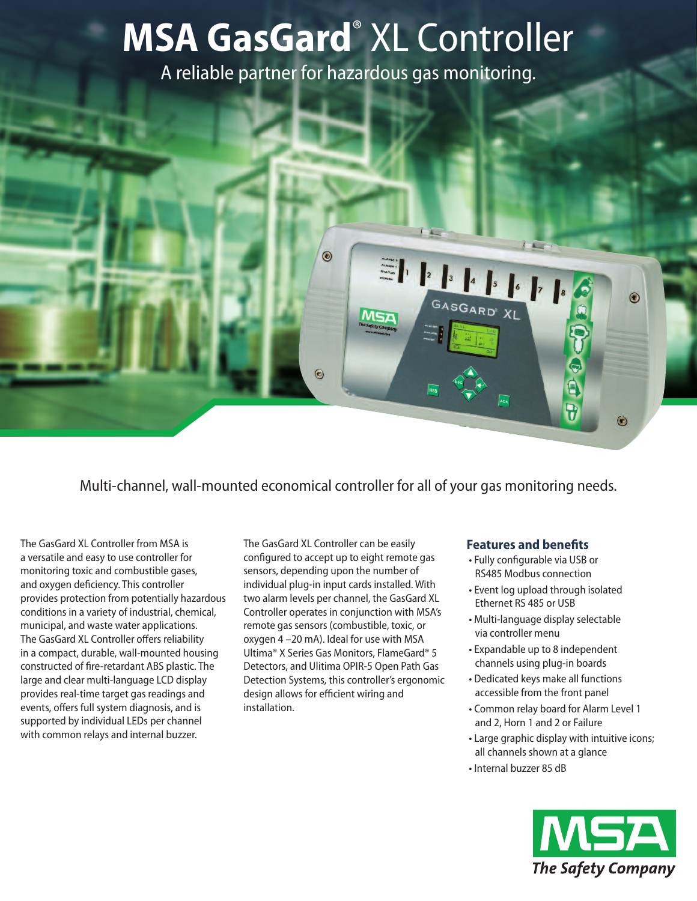# **MSA GasGard**® XL Controller

A reliable partner for hazardous gas monitoring.

 $\odot$ 

 $\odot$ 

SGARD<sup>®</sup> XL



The GasGard XL Controller from MSA is a versatile and easy to use controller for monitoring toxic and combustible gases, and oxygen deficiency. This controller provides protection from potentially hazardous conditions in a variety of industrial, chemical, municipal, and waste water applications. The GasGard XL Controller offers reliability in a compact, durable, wall-mounted housing constructed of fire-retardant ABS plastic. The large and clear multi-language LCD display provides real-time target gas readings and events, offers full system diagnosis, and is supported by individual LEDs per channel with common relays and internal buzzer.

The GasGard XL Controller can be easily configured to accept up to eight remote gas sensors, depending upon the number of individual plug-in input cards installed. With two alarm levels per channel, the GasGard XL Controller operates in conjunction with MSA's remote gas sensors (combustible, toxic, or oxygen 4 –20 mA). Ideal for use with MSA Ultima® X Series Gas Monitors, FlameGard® 5 Detectors, and Ulitima OPIR-5 Open Path Gas Detection Systems, this controller's ergonomic design allows for efficient wiring and installation.

#### **Features and benefits**

- Fully configurable via USB or RS485 Modbus connection
- Event log upload through isolated Ethernet RS 485 or USB
- Multi-language display selectable via controller menu
- Expandable up to 8 independent channels using plug-in boards
- Dedicated keys make all functions accessible from the front panel
- Common relay board for Alarm Level 1 and 2, Horn 1 and 2 or Failure
- Large graphic display with intuitive icons; all channels shown at a glance
- Internal buzzer 85 dB



 $\circledast$